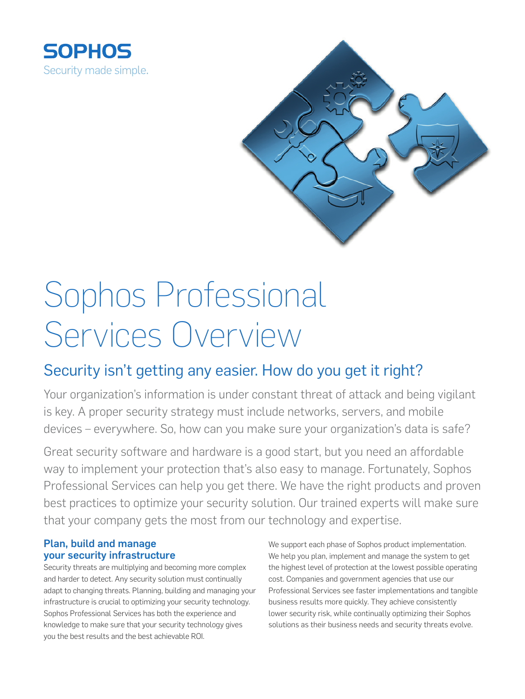



# Sophos Professional Services Overview

## Security isn't getting any easier. How do you get it right?

Your organization's information is under constant threat of attack and being vigilant is key. A proper security strategy must include networks, servers, and mobile devices – everywhere. So, how can you make sure your organization's data is safe?

Great security software and hardware is a good start, but you need an affordable way to implement your protection that's also easy to manage. Fortunately, Sophos Professional Services can help you get there. We have the right products and proven best practices to optimize your security solution. Our trained experts will make sure that your company gets the most from our technology and expertise.

#### Plan, build and manage your security infrastructure

Security threats are multiplying and becoming more complex and harder to detect. Any security solution must continually adapt to changing threats. Planning, building and managing your infrastructure is crucial to optimizing your security technology. Sophos Professional Services has both the experience and knowledge to make sure that your security technology gives you the best results and the best achievable ROI.

We support each phase of Sophos product implementation. We help you plan, implement and manage the system to get the highest level of protection at the lowest possible operating cost. Companies and government agencies that use our Professional Services see faster implementations and tangible business results more quickly. They achieve consistently lower security risk, while continually optimizing their Sophos solutions as their business needs and security threats evolve.